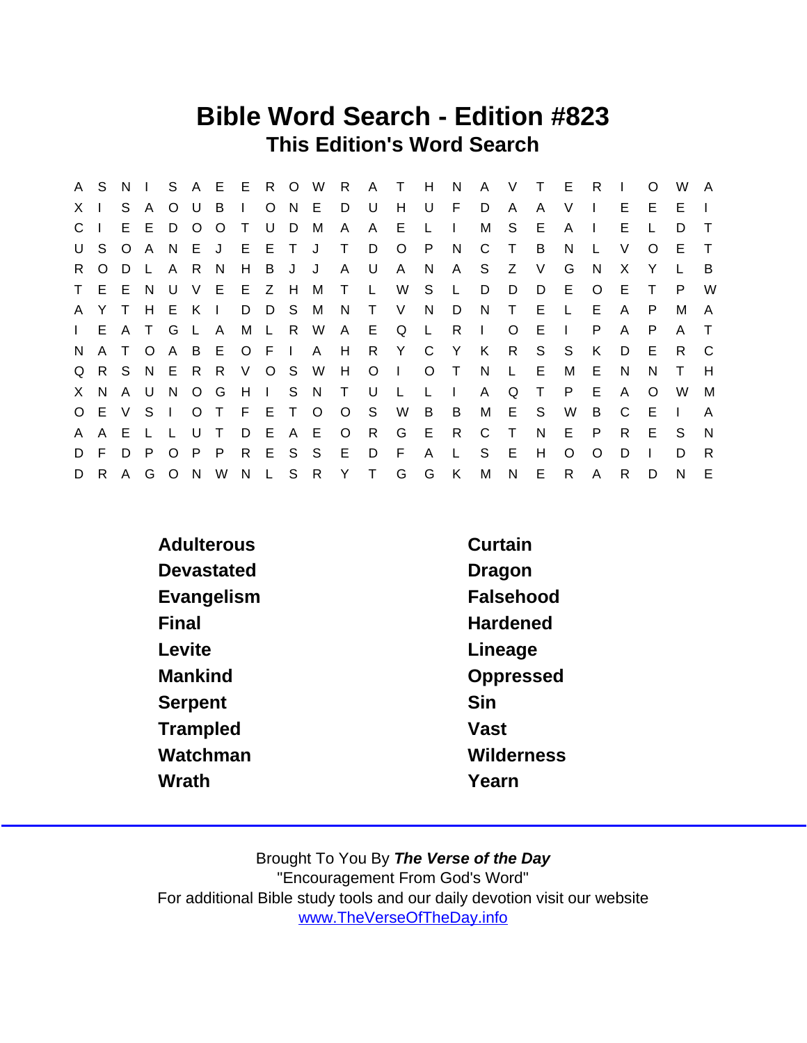## Bible Word Search - Edition #823 This Edition's Word Search

|              | A S          | N       | $\pm 1$      |              |         |                |             |       |       |   |              | S A E E R O W R A | $\top$       | - H          | N            |              | A V      | $\top$ | - E          | R            | $\mathbf{L}$ | $\Omega$ | W       | A            |
|--------------|--------------|---------|--------------|--------------|---------|----------------|-------------|-------|-------|---|--------------|-------------------|--------------|--------------|--------------|--------------|----------|--------|--------------|--------------|--------------|----------|---------|--------------|
| X.           |              | S       | A            | $\circ$      | U       | B              |             |       | O N E |   | D            | U                 | H            | U            | F            | D            | A        | A      | V            |              | E.           | E.       | Е       |              |
| $\mathsf{C}$ |              | E.      | E.           | D            | $\circ$ | $\circ$        | $\top$      | U     | D     | М | A            | A                 | E            |              | $\Box$       | м            | S        | Е      | A            | $\mathbf{I}$ | Е            |          | D       | $\top$       |
| U            | S.           | $\circ$ | A            | N.           | E J     |                | E.          | ETJ   |       |   | $\top$       | D                 | $\circ$      | P.           | N,           | C            | $\top$   | B      | N            |              | V            | $\Omega$ | Е       | $\top$       |
| R.           | $\circ$      | D       | $\mathsf{L}$ | $\mathsf{A}$ | R.      | - N            | H           | B     | J     | J | $\mathsf{A}$ | U                 | A            | N            | A            | S.           | Z        | $\vee$ | G            | N            | X.           | Y        |         | B            |
|              | T E E        |         | - N          | U            |         | V E E          |             | Z H   |       | M | $\top$       | L.                | W            | S.           | L            | D            | D        | D      | E.           | $\circ$      | E            |          | P       | W            |
|              | A Y          | $\top$  | H            | E.           | K       | $\blacksquare$ |             | D D S |       | M | N            | $\top$            | V            | N            | D            | N            | $\top$   | E      | $\mathsf{L}$ | E.           | A            | P        | М       | $\mathsf{A}$ |
|              | I E A T      |         |              | G            | - L -   | A              | M           | L R W |       |   | A E          |                   | Q            | $\mathsf{L}$ | -R           | $\mathbf{L}$ | $\Omega$ | Е      | $\mathbf{I}$ | P            | A            | P        | A       | $\top$       |
| N.           | $\mathsf{A}$ | $\top$  | $\circ$      | A            |         | B E O F I      |             |       |       | A | H            |                   | R Y C        |              | Y            | K            | R        | S.     | S            | K            | D            | Е        | R.      | C            |
|              | Q R S        |         |              |              | NERR    |                | V O S W     |       |       |   | H            | $\circ$           | $\Box$       | $\circ$      | $\top$       | <sup>N</sup> | L.       | E      | М            | E            | <sub>N</sub> | N        | T.      | H            |
|              | X N          | A U     |              | N            | $O$ $G$ |                | $H$ $\perp$ |       | S N   |   | $\mathsf{T}$ | U                 | $\mathsf{L}$ | L            | $\mathbf{L}$ | A            | Q        | $\top$ | P            | E            | A            | $\Omega$ | W       | M            |
|              | O E V        |         | - S          | $\mathbf{I}$ |         | O T F E T O    |             |       |       |   | $O_S$        |                   | W            | B            | B            | M            | E        | S.     | W            | B            | C            | - E      | $\perp$ | A            |
| A            | A            | E       | $\mathsf{L}$ |              | U       | $\top$         | D           | E     | A E   |   | $\circ$      | R                 | G            | E            | R            | C            | $\top$   | N      | E.           | P            | R.           | Е        | S       | $\mathsf{N}$ |
| D            | F.           | D.      | P.           | $\Omega$     |         | P P            | R.          | E.    | S S   |   | E            | D                 | E            | A            | L            | S            | E        | Н      | $\Omega$     | $\Omega$     | D            |          | D       | R.           |
| D            | R.           | A       | G            | $\circ$      | N       | W              | N L S R     |       |       |   | Y            | $\top$            | G            | G            | K            | M            | N        | E.     | R.           | A            | R            | D        | N       | E            |

| <b>Adulterous</b> | Curtain           |
|-------------------|-------------------|
| Devastated        | Dragon            |
| Evangelism        | Falsehood         |
| Final             | Hardened          |
| Levite            | Lineage           |
| Mankind           | Oppressed         |
| Serpent           | Sin               |
| Trampled          | Vast              |
| Watchman          | <b>Wilderness</b> |
| Wrath             | Yearn             |
|                   |                   |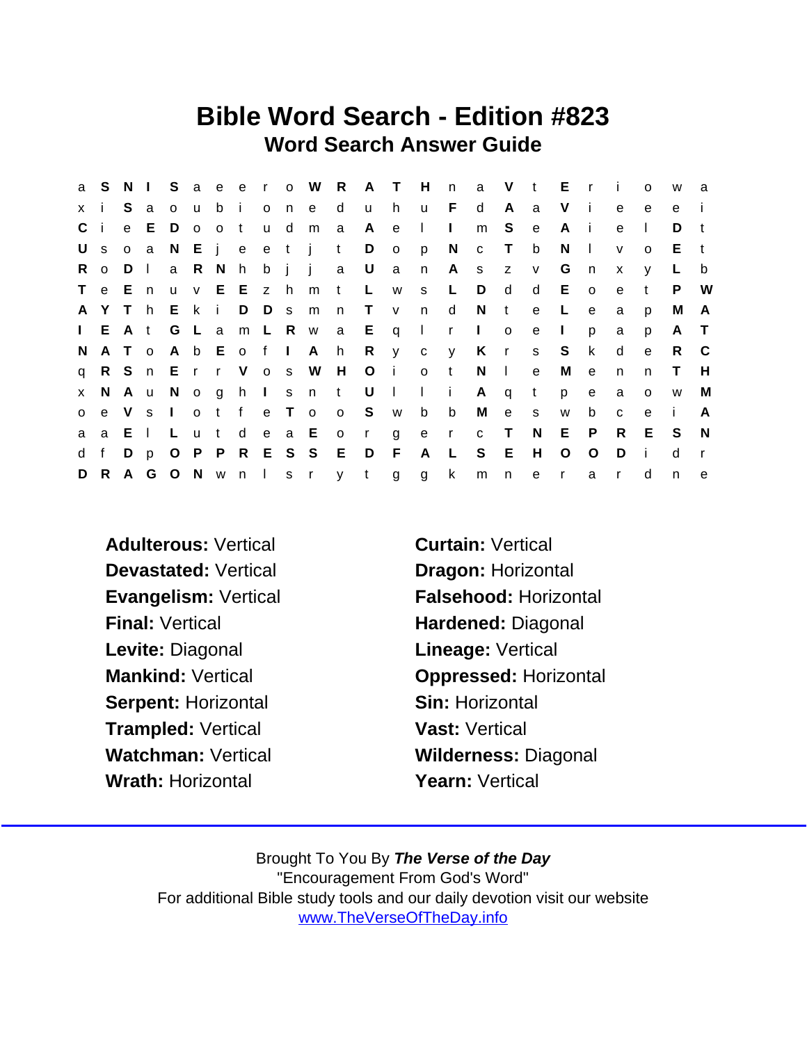## Bible Word Search - Edition #823 Word Search Answer Guide

| a            | S.      | - N    | $\sim 1$     |                |          |              |                       |       |       |                     |                   | Saeero W R A T |                | H            | n            |              |              | a V t E      |              | $\mathsf{r}$   | $\mathbf{I}$ | $\Omega$     | W            | a            |
|--------------|---------|--------|--------------|----------------|----------|--------------|-----------------------|-------|-------|---------------------|-------------------|----------------|----------------|--------------|--------------|--------------|--------------|--------------|--------------|----------------|--------------|--------------|--------------|--------------|
| $\mathsf{X}$ |         | S.     | a            | 0 <sub>u</sub> |          | bi           |                       |       | o n e |                     | d                 | u              | h.             | u —          | F.           | d            | A            | a            | V            | -i-            | e            | e            | e            |              |
| C i          |         |        | e E          | D              |          | o o t        |                       | u d   |       | m                   | $\alpha$          | A              | $\mathbf{e}$   | $\mathbf{I}$ | $\mathbf{L}$ | m            | S.           | $\mathbf{e}$ | A            | - 1            | e            | $\mathbf{I}$ | D            | $\mathbf{t}$ |
| U            | S       |        |              |                |          |              |                       |       |       | o a N E j e e t j t |                   | D              | $\overline{O}$ | p            | N            | c T          |              | b            | N            | $\blacksquare$ | $\mathsf{v}$ | $\Omega$     | E.           | $-t$         |
| R.           | $\circ$ | D      | $\Box$       | a              |          | R N          |                       |       |       | h b j j a           |                   | $\cup$         | $\mathsf{a}$   | n            |              | A s          | Z            | V            | G            | n              | $\mathsf{x}$ | V            |              | b            |
| $\mathsf{T}$ |         | e En   |              | $\mathsf{u}$   |          |              | v E E z h             |       |       | m                   | $-t$              | L.             | W              | S            | L.           | D            | d            | d            | E.           | $\circ$        | e            | $^{\dagger}$ | P.           | W            |
|              | A Y     | $\top$ | h.           | E k            |          | $\mathbf{i}$ |                       | D D s |       | m                   | n                 | $\top$         | $\mathsf{V}$   | n            | d            | N.           | $-t$         | $\mathbf{e}$ | L            | $\mathbf{e}$   | a            | p            | м            | A            |
|              |         |        | $I$ E A t    |                | G L a    |              | m L R w               |       |       |                     |                   | a E q I        |                |              | $\mathsf{r}$ | $\mathbf{1}$ | $\circ$      | e            | $\mathbf{L}$ | p              | a            | p            | A            | $\top$       |
| N.           |         | A T    | $\circ$      |                |          |              | A b E o f I           |       |       | A h                 |                   | R              | $y$ c          |              | y            | K            | $\mathsf{r}$ | S            | S.           | $\mathsf{k}$   | d            | $\mathbf{e}$ | R.           | - C          |
|              |         |        |              |                |          |              | q R S n E r r V o s W |       |       |                     | H                 |                | $O$ i          | o t          |              | N            | $\Box$       | $\mathbf{e}$ | М            | $\mathbf{e}$   | $\mathsf{n}$ | n            | T.           | H            |
| $\mathsf{X}$ | N.      | Au     |              |                |          |              |                       |       |       | Noghlsnt            |                   | U              | $\Box$         | $\mathbf{L}$ | $\mathbf{i}$ | A            | q            | $\mathbf{t}$ | p            | e              | a            | $\Omega$     | W            | м            |
| $\circ$      |         |        |              | e V s I        |          |              | otf                   |       | e T   | $\mathsf{o}$        |                   | o S w          |                | b            | b            | M            | e -          | S            | W            | b              | $\mathbf{C}$ | e            | -i-          | A            |
| a            | a E     |        | $\mathbf{L}$ | L.             | <b>u</b> |              | t de a E              |       |       |                     | $\overline{O}$    | $\mathsf{r}$   | $\mathsf{g}$   |              |              | e r c T      |              | N.           | E            | $\mathsf{P}$   | R.           | E.           | <sub>S</sub> | -N           |
| d            | f       | D      | $\mathsf{p}$ |                |          |              |                       |       |       | O P P R E S S E     |                   | $\Box$         | F              | A            | L.           | S            | E            | H            | $\circ$      | $\circ$        | D            | -i-          | d            | $\mathbf{r}$ |
|              | D R     | A G    |              |                |          |              |                       |       |       |                     | O N w n I s r y t |                | g              | $\mathsf{g}$ | $\mathsf{k}$ | $m$ $n$      |              | e            | $\mathsf{r}$ | a              | $\mathsf{r}$ | d            | n            | $\mathbf e$  |

- Adulterous: Vertical **Curtain: Vertical** Devastated: Vertical Dragon: Horizontal Final: Vertical **Hardened: Diagonal** Levite: Diagonal **Lineage: Vertical** Serpent: Horizontal Sin: Horizontal Trampled: Vertical Vast: Vertical Wrath: Horizontal **Wrath: Yearn: Vertical**
- Evangelism: Vertical Falsehood: Horizontal Mankind: Vertical **Changes** Oppressed: Horizontal Watchman: Vertical Wilderness: Diagonal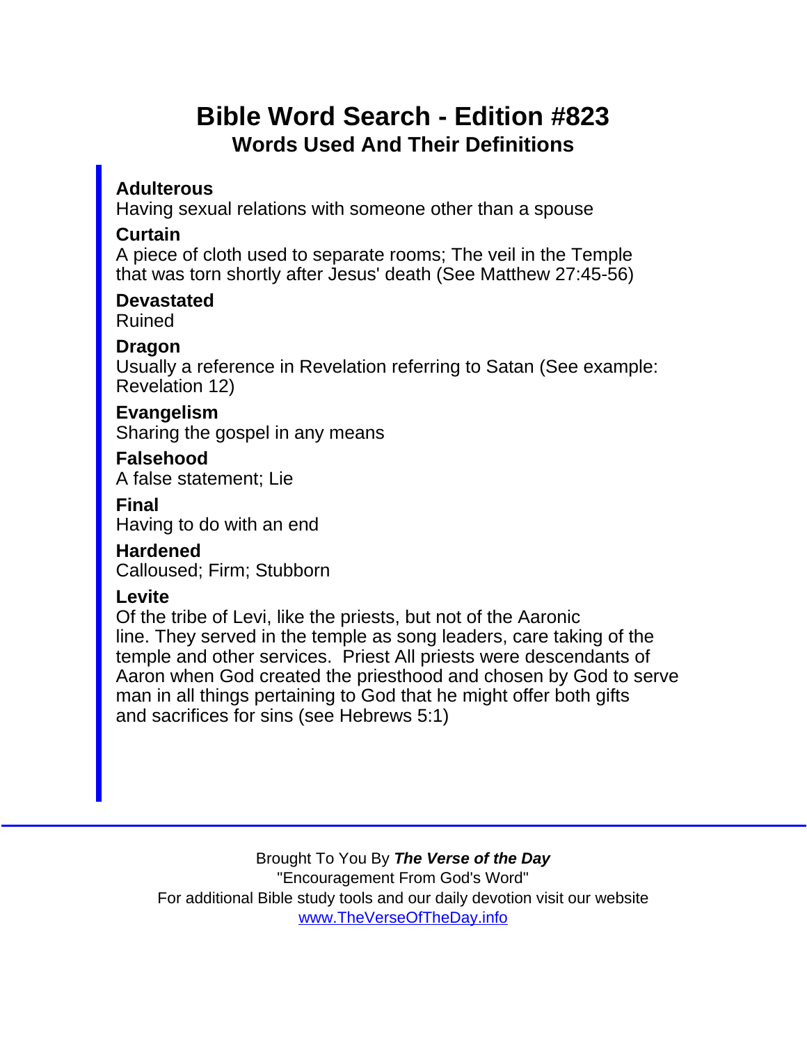## Bible Word Search - Edition #823 Words Used And Their Definitions

**Adulterous** 

Having sexual relations with someone other than a spouse

**Curtain** 

A piece of cloth used to separate rooms; The veil in the Temple that was torn shortly after Jesus' death (See Matthew 27:45-56)

**Devastated** Ruined

Dragon

Usually a reference in Revelation referring to Satan (See example: Revelation 12)

Evangelism Sharing the gospel in any means

Falsehood A false statement; Lie

Final Having to do with an end

Hardened Calloused; Firm; Stubborn

**Levite** 

Of the tribe of Levi, like the priests, but not of the Aaronic line. They served in the temple as song leaders, care taking of the temple and other services. Priest All priests were descendants of Aaron when God created the priesthood and chosen by God to serve man in all things pertaining to God that he might offer both gifts and sacrifices for sins (see Hebrews 5:1)